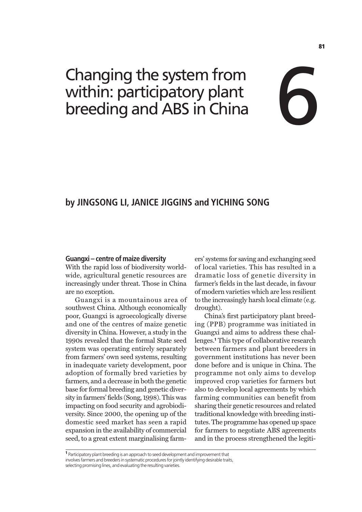# Changing the system from within: participatory plant Crianging the system from<br>within: participatory plant<br>breeding and ABS in China

# **by JINGSONG LI, JANICE JIGGINS and YICHING SONG**

#### **Guangxi – centre of maize diversity**

With the rapid loss of biodiversity worldwide, agricultural genetic resources are increasingly under threat. Those in China are no exception.

Guangxi is a mountainous area of southwest China. Although economically poor, Guangxi is agroecologically diverse and one of the centres of maize genetic diversity in China. However, a study in the 1990s revealed that the formal State seed system was operating entirely separately from farmers' own seed systems, resulting in inadequate variety development, poor adoption of formally bred varieties by farmers, and a decrease in both the genetic base for formal breeding and genetic diversity in farmers' fields (Song, 1998). This was impacting on food security and agrobiodiversity. Since 2000, the opening up of the domestic seed market has seen a rapid expansion in the availability of commercial seed, to a great extent marginalising farmers' systems for saving and exchanging seed of local varieties. This has resulted in a dramatic loss of genetic diversity in farmer's fields in the last decade, in favour of modern varieties which are less resilient to the increasingly harsh local climate (e.g. drought).

China's first participatory plant breeding (PPB) programme was initiated in Guangxi and aims to address these challenges.<sup>1</sup> This type of collaborative research between farmers and plant breeders in government institutions has never been done before and is unique in China. The programme not only aims to develop improved crop varieties for farmers but also to develop local agreements by which farming communities can benefit from sharing their genetic resources and related traditional knowledge with breeding institutes. The programme has opened up space for farmers to negotiate ABS agreements and in the process strengthened the legiti-

<sup>1</sup> Participatory plant breeding is an approach to seed development and improvement that involves farmers and breeders in systematic procedures for jointly identifying desirable traits, selecting promising lines, and evaluating the resulting varieties.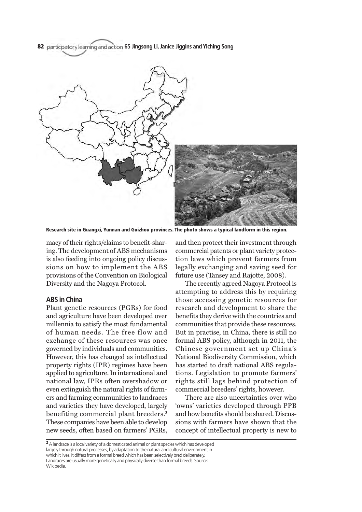82 participatory learning and action 65 Jingsong Li, Janice Jiggins and Yiching Song



Research site in Guangxi, Yunnan and Guizhou provinces. The photo shows a typical landform in this region.

macy of their rights/claims to benefit-sharing. The development of ABS mechanisms is also feeding into ongoing policy discussions on how to implement the ABS provisions of the Convention on Biological Diversity and the Nagoya Protocol.

#### **ABS in China**

Plant genetic resources (PGRs) for food and agriculture have been developed over millennia to satisfy the most fundamental of human needs. The free flow and exchange of these resources was once governed by individuals and communities. However, this has changed as intellectual property rights (IPR) regimes have been applied to agriculture. In international and national law, IPRs often overshadow or even extinguish the natural rights of farmers and farming communities to landraces and varieties they have developed, largely benefiting commercial plant breeders.<sup>2</sup> These companies have been able to develop new seeds, often based on farmers' PGRs,

and then protect their investment through commercial patents or plant variety protection laws which prevent farmers from legally exchanging and saving seed for future use (Tansey and Rajotte, 2008).

The recently agreed Nagoya Protocol is attempting to address this by requiring those accessing genetic resources for research and development to share the benefits they derive with the countries and communities that provide these resources. But in practise, in China, there is still no formal ABS policy, although in 2011, the Chinese government set up China's National Biodiversity Commission, which has started to draft national ABS regulations. Legislation to promote farmers' rights still lags behind protection of commercial breeders' rights, however.

There are also uncertainties over who 'owns' varieties developed through PPB and how benefits should be shared. Discussions with farmers have shown that the concept of intellectual property is new to

<sup>&</sup>lt;sup>2</sup> A landrace is a local variety of a domesticated animal or plant species which has developed largely through natural processes, by adaptation to the natural and cultural environment in which it lives. It differs from a formal breed which has been selectively bred deliberately. Landraces are usually more genetically and physically diverse than formal breeds. Source: Wikipedia.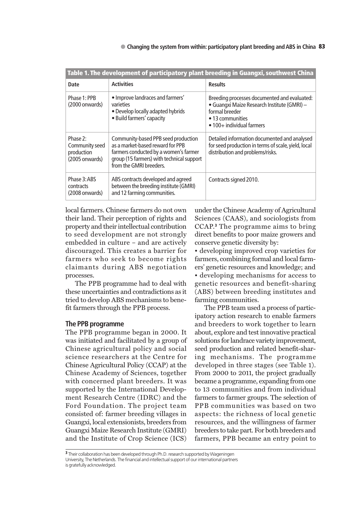| Table 1. The development of participatory plant breeding in Guangxi, southwest China |                                                                                                                                                                                          |                                                                                                                                                                                |
|--------------------------------------------------------------------------------------|------------------------------------------------------------------------------------------------------------------------------------------------------------------------------------------|--------------------------------------------------------------------------------------------------------------------------------------------------------------------------------|
| <b>Date</b>                                                                          | <b>Activities</b>                                                                                                                                                                        | <b>Results</b>                                                                                                                                                                 |
| Phase 1: PPB<br>$(2000$ onwards)                                                     | • Improve landraces and farmers'<br>varieties<br>• Develop locally adapted hybrids<br>· Build farmers' capacity                                                                          | Breeding processes documented and evaluated:<br>· Guangxi Maize Research Institute (GMRI) -<br>formal breeder<br>$\bullet$ 13 communities<br>$\bullet$ 100+ individual farmers |
| Phase 2:<br>Community seed<br>production<br>(2005 onwards)                           | Community-based PPB seed production<br>as a market-based reward for PPB<br>farmers conducted by a women's farmer<br>group (15 farmers) with technical support<br>from the GMRI breeders. | Detailed information documented and analysed<br>for seed production in terms of scale, yield, local<br>distribution and problems/risks.                                        |
| Phase 3:ABS<br>contracts<br>(2008 onwards)                                           | ABS contracts developed and agreed<br>between the breeding institute (GMRI)<br>and 12 farming communities.                                                                               | Contracts signed 2010.                                                                                                                                                         |

local farmers. Chinese farmers do not own their land. Their perception of rights and property and their intellectual contribution to seed development are not strongly embedded in culture – and are actively discouraged. This creates a barrier for farmers who seek to become rights claimants during ABS negotiation processes.

The PPB programme had to deal with these uncertainties and contradictions as it tried to develop ABS mechanisms to benefit farmers through the PPB process.

# **The PPB programme**

The PPB programme began in 2000. It was initiated and facilitated by a group of Chinese agricultural policy and social science researchers at the Centre for Chinese Agricultural Policy (CCAP) at the Chinese Academy of Sciences, together with concerned plant breeders. It was supported by the International Development Research Centre (IDRC) and the Ford Foundation. The project team consisted of: farmer breeding villages in Guangxi, local extensionists, breeders from Guangxi Maize Research Institute (GMRI) and the Institute of Crop Science (ICS)

under the Chinese Academy of Agricultural Sciences (CAAS), and sociologists from CCAP.<sup>3</sup> The programme aims to bring direct benefits to poor maize growers and conserve genetic diversity by:

• developing improved crop varieties for farmers, combining formal and local farmers' genetic resources and knowledge; and • developing mechanisms for access to genetic resources and benefit-sharing (ABS) between breeding institutes and farming communities.

The PPB team used a process of participatory action research to enable farmers and breeders to work together to learn about, explore and test innovative practical solutions for landrace variety improvement, seed production and related benefit-sharing mechanisms. The programme developed in three stages (see Table 1). From 2000 to 2011, the project gradually became a programme, expanding from one to 13 communities and from individual farmers to farmer groups. The selection of PPB communities was based on two aspects: the richness of local genetic resources, and the willingness of farmer breeders to take part. For both breeders and farmers, PPB became an entry point to

<sup>&</sup>lt;sup>3</sup> Their collaboration has been developed through Ph.D. research supported by Wageningen University, The Netherlands. The financial and intellectual support of our international partners is gratefully acknowledged.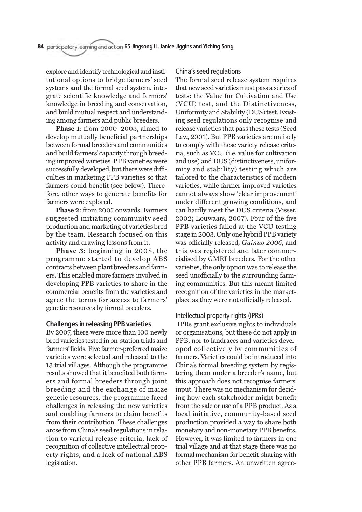explore and identify technological and institutional options to bridge farmers' seed systems and the formal seed system, integrate scientific knowledge and farmers' knowledge in breeding and conservation, and build mutual respect and understanding among farmers and public breeders.

**Phase 1**: from 2000–2003, aimed to develop mutually beneficial partnerships between formal breeders and communities and build farmers' capacity through breeding improved varieties. PPB varieties were successfully developed, but there were difficulties in marketing PPB varieties so that farmers could benefit (see below). Therefore, other ways to generate benefits for farmers were explored.

**Phase 2**: from 2005 onwards. Farmers suggested initiating community seed production and marketing of varieties bred by the team. Research focused on this activity and drawing lessons from it.

**Phase 3**: beginning in 2008, the programme started to develop ABS contracts between plant breeders and farmers. This enabled more farmers involved in developing PPB varieties to share in the commercial benefits from the varieties and agree the terms for access to farmers' genetic resources by formal breeders.

# **Challenges in releasing PPB varieties**

By 2007, there were more than 100 newly bred varieties tested in on-station trials and farmers' fields. Five farmer-preferred maize varieties were selected and released to the 13 trial villages. Although the programme results showed that it benefited both farmers and formal breeders through joint breeding and the exchange of maize genetic resources, the programme faced challenges in releasing the new varieties and enabling farmers to claim benefits from their contribution. These challenges arose from China's seed regulations in relation to varietal release criteria, lack of recognition of collective intellectual property rights, and a lack of national ABS legislation.

# China's seed regulations

The formal seed release system requires that new seed varieties must pass a series of tests: the Value for Cultivation and Use (VCU) test, and the Distinctiveness, Uniformity and Stability (DUS) test. Existing seed regulations only recognise and release varieties that pass these tests (Seed Law, 2001). But PPB varieties are unlikely to comply with these variety release criteria, such as VCU (i.e. value for cultivation and use) and DUS (distinctiveness, uniformity and stability) testing which are tailored to the characteristics of modern varieties, while farmer improved varieties cannot always show 'clear improvement' under different growing conditions, and can hardly meet the DUS criteria (Visser, 2002; Louwaars, 2007). Four of the five PPB varieties failed at the VCU testing stage in 2003. Only one hybrid PPB variety was officially released, *Guinuo 2006*, and this was registered and later commercialised by GMRI breeders. For the other varieties, the only option was to release the seed unofficially to the surrounding farming communities. But this meant limited recognition of the varieties in the marketplace as they were not officially released.

### Intellectual property rights (IPRs)

IPRs grant exclusive rights to individuals or organisations, but these do not apply in PPB, nor to landraces and varieties developed collectively by communities of farmers. Varieties could be introduced into China's formal breeding system by registering them under a breeder's name, but this approach does not recognise farmers' input. There was no mechanism for deciding how each stakeholder might benefit from the sale or use of a PPB product. As a local initiative, community-based seed production provided a way to share both monetary and non-monetary PPB benefits. However, it was limited to farmers in one trial village and at that stage there was no formal mechanism for benefit-sharing with other PPB farmers. An unwritten agree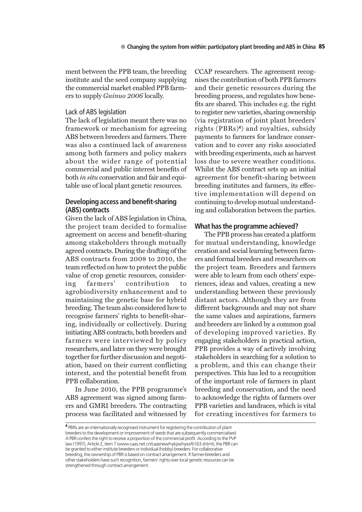ment between the PPB team, the breeding institute and the seed company supplying the commercial market enabled PPB farmers to supply *Guinuo 2006* locally.

# Lack of ABS legislation

The lack of legislation meant there was no framework or mechanism for agreeing ABS between breeders and farmers. There was also a continued lack of awareness among both farmers and policy makers about the wider range of potential commercial and public interest benefits of both *in situ* conservation and fair and equitable use of local plant genetic resources.

# **Developing access and benefit-sharing (ABS) contracts**

Given the lack of ABS legislation in China, the project team decided to formalise agreement on access and benefit-sharing among stakeholders through mutually agreed contracts. During the drafting of the ABS contracts from 2008 to 2010, the team reflected on how to protect the public value of crop genetic resources, considering farmers' contribution to agrobiodiversity enhancement and to maintaining the genetic base for hybrid breeding. The team also considered how to recognise farmers' rights to benefit-sharing, individually or collectively. During initiating ABS contracts, both breeders and farmers were interviewed by policy researchers, and later on they were brought together for further discussion and negotiation, based on their current conflicting interest, and the potential benefit from PPB collaboration.

In June 2010, the PPB programme's ABS agreement was signed among farmers and GMRI breeders. The contracting process was facilitated and witnessed by CCAP researchers. The agreement recognises the contribution of both PPB farmers and their genetic resources during the breeding process, and regulates how benefits are shared. This includes e.g. the right to register new varieties, sharing ownership (via registration of joint plant breeders' rights (PBRs)4) and royalties, subsidy payments to farmers for landrace conservation and to cover any risks associated with breeding experiments, such as harvest loss due to severe weather conditions. Whilst the ABS contract sets up an initial agreement for benefit-sharing between breeding institutes and farmers, its effective implementation will depend on continuing to develop mutual understanding and collaboration between the parties.

### **What has the programme achieved?**

The PPB process has created a platform for mutual understanding, knowledge creation and social learning between farmers and formal breeders and researchers on the project team. Breeders and farmers were able to learn from each others' experiences, ideas and values, creating a new understanding between these previously distant actors. Although they are from different backgrounds and may not share the same values and aspirations, farmers and breeders are linked by a common goal of developing improved varieties. By engaging stakeholders in practical action, PPB provides a way of actively involving stakeholders in searching for a solution to a problem, and this can change their perspectives. This has led to a recognition of the important role of farmers in plant breeding and conservation, and the need to acknowledge the rights of farmers over PPB varieties and landraces, which is vital for creating incentives for farmers to

<sup>4</sup> PBRs are an internationally recognised instrument for registering the contribution of plant breeders to the development or improvement of seeds that are subsequently commercialised. A PBR confers the right to receive a proportion of the commercial profit. According to the PVP law (1997), Article 2, item 7 (www.caas.net.cn/caasnew/nykjxx/nyxz/6163.shtml), the PBR can be granted to either institute breeders or individual (hobby) breeders. For collaborative breeding, the ownership of PBR is based on contract arrangement. If farmer-breeders and other stakeholders have such recognition, farmers' rights over local genetic resources can be strengthened through contract arrangement.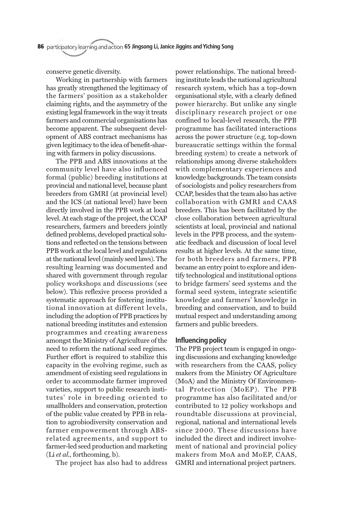conserve genetic diversity.

Working in partnership with farmers has greatly strengthened the legitimacy of the farmers' position as a stakeholder claiming rights, and the asymmetry of the existing legal framework in the way it treats farmers and commercial organisations has become apparent. The subsequent development of ABS contract mechanisms has given legitimacy to the idea of benefit-sharing with farmers in policy discussions.

The PPB and ABS innovations at the community level have also influenced formal (public) breeding institutions at provincial and national level, because plant breeders from GMRI (at provincial level) and the ICS (at national level) have been directly involved in the PPB work at local level. At each stage of the project, the CCAP researchers, farmers and breeders jointly defined problems, developed practical solutions and reflected on the tensions between PPB work at the local level and regulations at the national level (mainly seed laws). The resulting learning was documented and shared with government through regular policy workshops and discussions (see below). This reflexive process provided a systematic approach for fostering institutional innovation at different levels, including the adoption of PPB practices by national breeding institutes and extension programmes and creating awareness amongst the Ministry of Agriculture of the need to reform the national seed regimes. Further effort is required to stabilize this capacity in the evolving regime, such as amendment of existing seed regulations in order to accommodate farmer improved varieties, support to public research institutes' role in breeding oriented to smallholders and conservation, protection of the public value created by PPB in relation to agrobiodiversity conservation and farmer empowerment through ABSrelated agreements, and support to farmer-led seed production and marketing (Li *et al.,* forthcoming, b).

The project has also had to address

power relationships. The national breeding institute leads the national agricultural research system, which has a top-down organisational style, with a clearly defined power hierarchy. But unlike any single disciplinary research project or one confined to local-level research, the PPB programme has facilitated interactions across the power structure (e.g. top-down bureaucratic settings within the formal breeding system) to create a network of relationships among diverse stakeholders with complementary experiences and knowledge backgrounds. The team consists of sociologists and policy researchers from CCAP, besides that the team also has active collaboration with GMRI and CAAS breeders. This has been facilitated by the close collaboration between agricultural scientists at local, provincial and national levels in the PPB process, and the systematic feedback and discussion of local level results at higher levels. At the same time, for both breeders and farmers, PPB became an entry point to explore and identify technological and institutional options to bridge farmers' seed systems and the formal seed system, integrate scientific knowledge and farmers' knowledge in breeding and conservation, and to build mutual respect and understanding among farmers and public breeders.

### **Influencing policy**

The PPB project team is engaged in ongoing discussions and exchanging knowledge with researchers from the CAAS, policy makers from the Ministry Of Agriculture (MoA) and the Ministry Of Environmental Protection (MoEP). The PPB programme has also facilitated and/or contributed to 12 policy workshops and roundtable discussions at provincial, regional, national and international levels since 2000. These discussions have included the direct and indirect involvement of national and provincial policy makers from MoA and MoEP, CAAS, GMRI and international project partners.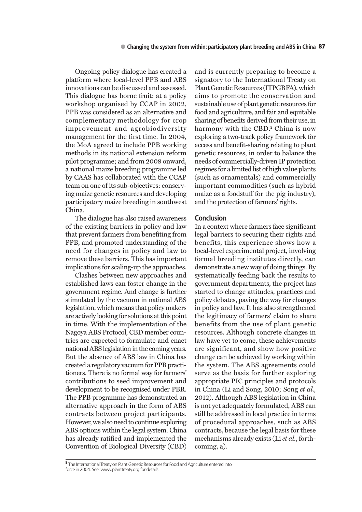Ongoing policy dialogue has created a platform where local-level PPB and ABS innovations can be discussed and assessed. This dialogue has borne fruit: at a policy workshop organised by CCAP in 2002, PPB was considered as an alternative and complementary methodology for crop improvement and agrobiodiversity management for the first time. In 2004, the MoA agreed to include PPB working methods in its national extension reform pilot programme; and from 2008 onward, a national maize breeding programme led by CAAS has collaborated with the CCAP team on one of its sub-objectives: conserving maize genetic resources and developing participatory maize breeding in southwest China.

The dialogue has also raised awareness of the existing barriers in policy and law that prevent farmers from benefiting from PPB, and promoted understanding of the need for changes in policy and law to remove these barriers. This has important implications for scaling-up the approaches.

Clashes between new approaches and established laws can foster change in the government regime. And change is further stimulated by the vacuum in national ABS legislation, which means that policy makers are actively looking for solutions at this point in time. With the implementation of the Nagoya ABS Protocol, CBD member countries are expected to formulate and enact national ABS legislation in the coming years. But the absence of ABS law in China has created a regulatory vacuum for PPB practitioners. There is no formal way for farmers' contributions to seed improvement and development to be recognised under PBR. The PPB programme has demonstrated an alternative approach in the form of ABS contracts between project participants. However, we also need to continue exploring ABS options within the legal system. China has already ratified and implemented the Convention of Biological Diversity (CBD)

and is currently preparing to become a signatory to the International Treaty on Plant Genetic Resources (ITPGRFA), which aims to promote the conservation and sustainable use of plant genetic resources for food and agriculture, and fair and equitable sharing of benefits derived from their use, in harmony with the CBD.<sup>5</sup> China is now exploring a two-track policy framework for access and benefit-sharing relating to plant genetic resources, in order to balance the needs of commercially-driven IP protection regimes for a limited list of high value plants (such as ornamentals) and commercially important commodities (such as hybrid maize as a foodstuff for the pig industry), and the protection of farmers' rights.

#### **Conclusion**

In a context where farmers face significant legal barriers to securing their rights and benefits, this experience shows how a local-level experimental project, involving formal breeding institutes directly, can demonstrate a new way of doing things. By systematically feeding back the results to government departments, the project has started to change attitudes, practices and policy debates, paving the way for changes in policy and law. It has also strengthened the legitimacy of farmers' claim to share benefits from the use of plant genetic resources. Although concrete changes in law have yet to come, these achievements are significant, and show how positive change can be achieved by working within the system. The ABS agreements could serve as the basis for further exploring appropriate PIC principles and protocols in China (Li and Song, 2010; Song *et al.,* 2012). Although ABS legislation in China is not yet adequately formulated, ABS can still be addressed in local practice in terms of procedural approaches, such as ABS contracts, because the legal basis for these mechanisms already exists (Li *et al.*, forthcoming, a).

<sup>5</sup> The International Treaty on Plant Genetic Resources for Food and Agriculture entered into force in 2004. See: www.planttreaty.org for details.